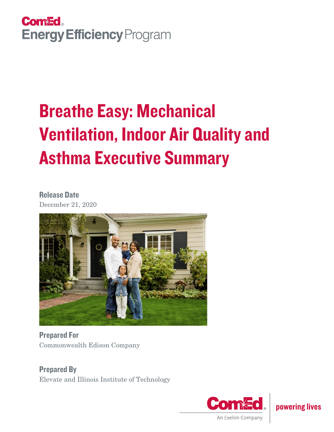

# Breathe Easy: Mechanical Ventilation, Indoor Air Quality and Asthma Executive Summary

Release Date December 21, 2020



Prepared For Commonwealth Edison Company

Prepared By Elevate and Illinois Institute of Technology



powering lives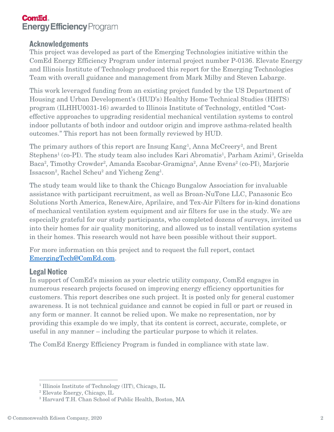## **Com<sup>Ed</sup> Energy Efficiency Program**

#### **Acknowledgements**

This project was developed as part of the Emerging Technologies initiative within the ComEd Energy Efficiency Program under internal project number P-0136. Elevate Energy and Illinois Institute of Technology produced this report for the Emerging Technologies Team with overall guidance and management from Mark Milby and Steven Labarge.

This work leveraged funding from an existing project funded by the US Department of Housing and Urban Development's (HUD's) Healthy Home Technical Studies (HHTS) program (ILHHU0031-16) awarded to Illinois Institute of Technology, entitled "Costeffective approaches to upgrading residential mechanical ventilation systems to control indoor pollutants of both indoor and outdoor origin and improve asthma-related health outcomes." This report has not been formally reviewed by HUD.

The primary authors of this report are Insung Kang<sup>[1](#page-1-0)</sup>, Anna McCreery<sup>[2](#page-1-1)</sup>, and Brent Stephens<sup>1</sup> (co-PI). The study team also includes Kari Abromatis<sup>1</sup>, Parham Azimi<sup>[3](#page-1-2)</sup>, Griselda Baca<sup>2</sup>, Timothy Crowder<sup>2</sup>, Amanda Escobar-Gramigna<sup>2</sup>, Anne Evens<sup>2</sup> (co-PI), Marjorie Issacson<sup>2</sup>, Rachel Scheu<sup>2</sup> and Yicheng Zeng<sup>1</sup>.

The study team would like to thank the Chicago Bungalow Association for invaluable assistance with participant recruitment, as well as Broan-NuTone LLC, Panasonic Eco Solutions North America, RenewAire, Aprilaire, and Tex-Air Filters for in-kind donations of mechanical ventilation system equipment and air filters for use in the study. We are especially grateful for our study participants, who completed dozens of surveys, invited us into their homes for air quality monitoring, and allowed us to install ventilation systems in their homes. This research would not have been possible without their support.

For more information on this project and to request the full report, contact [EmergingTech@ComEd.com.](mailto:EmergingTech@ComEd.com)

### Legal Notice

In support of ComEd's mission as your electric utility company, ComEd engages in numerous research projects focused on improving energy efficiency opportunities for customers. This report describes one such project. It is posted only for general customer awareness. It is not technical guidance and cannot be copied in full or part or reused in any form or manner. It cannot be relied upon. We make no representation, nor by providing this example do we imply, that its content is correct, accurate, complete, or useful in any manner – including the particular purpose to which it relates.

The ComEd Energy Efficiency Program is funded in compliance with state law.

<span id="page-1-0"></span><sup>&</sup>lt;sup>1</sup> Illinois Institute of Technology (IIT), Chicago, IL

<span id="page-1-1"></span><sup>2</sup> Elevate Energy, Chicago, IL

<span id="page-1-2"></span><sup>3</sup> Harvard T.H. Chan School of Public Health, Boston, MA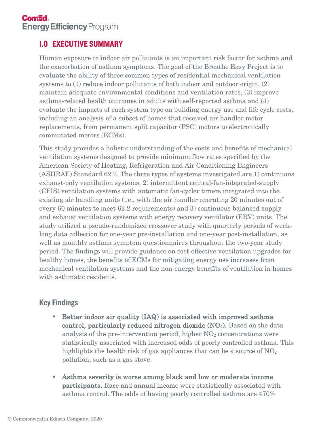# 1.0 EXECUTIVE SUMMARY

Human exposure to indoor air pollutants is an important risk factor for asthma and the exacerbation of asthma symptoms. The goal of the Breathe Easy Project is to evaluate the ability of three common types of residential mechanical ventilation systems to (1) reduce indoor pollutants of both indoor and outdoor origin, (2) maintain adequate environmental conditions and ventilation rates, (3) improve asthma-related health outcomes in adults with self-reported asthma and (4) evaluate the impacts of each system type on building energy use and life cycle costs, including an analysis of a subset of homes that received air handler motor replacements, from permanent split capacitor (PSC) motors to electronically commutated motors (ECMs).

This study provides a holistic understanding of the costs and benefits of mechanical ventilation systems designed to provide minimum flow rates specified by the American Society of Heating, Refrigeration and Air Conditioning Engineers (ASHRAE) Standard 62.2. The three types of systems investigated are 1) continuous exhaust-only ventilation systems, 2) intermittent central-fan-integrated-supply (CFIS) ventilation systems with automatic fan-cycler timers integrated into the existing air handling units (i.e., with the air handler operating 20 minutes out of every 60 minutes to meet 62.2 requirements) and 3) continuous balanced supply and exhaust ventilation systems with energy recovery ventilator (ERV) units. The study utilized a pseudo-randomized crossover study with quarterly periods of weeklong data collection for one-year pre-installation and one-year post-installation, as well as monthly asthma symptom questionnaires throughout the two-year study period. The findings will provide guidance on cost-effective ventilation upgrades for healthy homes, the benefits of ECMs for mitigating energy use increases from mechanical ventilation systems and the non-energy benefits of ventilation in homes with asthmatic residents.

# Key Findings

- Better indoor air quality (IAQ) is associated with improved asthma control, particularly reduced nitrogen dioxide  $(NO<sub>2</sub>)$ . Based on the data analysis of the pre-intervention period, higher  $NO<sub>2</sub>$  concentrations were statistically associated with increased odds of poorly controlled asthma. This highlights the health risk of gas appliances that can be a source of  $NO<sub>2</sub>$ pollution, such as a gas stove.
- Asthma severity is worse among black and low or moderate income participants. Race and annual income were statistically associated with asthma control. The odds of having poorly controlled asthma are 470%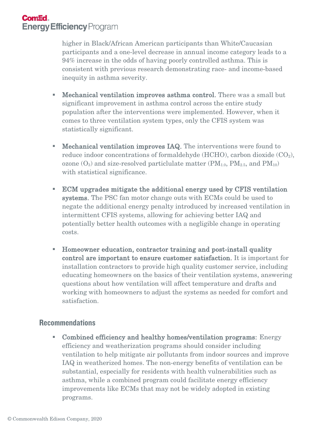## **Come Energy Efficiency Program**

higher in Black/African American participants than White/Caucasian participants and a one-level decrease in annual income category leads to a 94% increase in the odds of having poorly controlled asthma. This is consistent with previous research demonstrating race- and income-based inequity in asthma severity.

- **Mechanical ventilation improves asthma control.** There was a small but significant improvement in asthma control across the entire study population after the interventions were implemented. However, when it comes to three ventilation system types, only the CFIS system was statistically significant.
- **Mechanical ventilation improves IAQ.** The interventions were found to reduce indoor concentrations of formaldehyde (HCHO), carbon dioxide (CO<sub>2</sub>), ozone  $(O_3)$  and size-resolved particlulate matter  $(PM_{1,0}, PM_{2,5},$  and  $PM_{10})$ with statistical significance.
- ECM upgrades mitigate the additional energy used by CFIS ventilation systems. The PSC fan motor change outs with ECMs could be used to negate the additional energy penalty introduced by increased ventilation in intermittent CFIS systems, allowing for achieving better IAQ and potentially better health outcomes with a negligible change in operating costs.
- Homeowner education, contractor training and post-install quality control are important to ensure customer satisfaction. It is important for installation contractors to provide high quality customer service, including educating homeowners on the basics of their ventilation systems, answering questions about how ventilation will affect temperature and drafts and working with homeowners to adjust the systems as needed for comfort and satisfaction.

#### **Recommendations**

 Combined efficiency and healthy homes/ventilation programs: Energy efficiency and weatherization programs should consider including ventilation to help mitigate air pollutants from indoor sources and improve IAQ in weatherized homes. The non-energy benefits of ventilation can be substantial, especially for residents with health vulnerabilities such as asthma, while a combined program could facilitate energy efficiency improvements like ECMs that may not be widely adopted in existing programs.